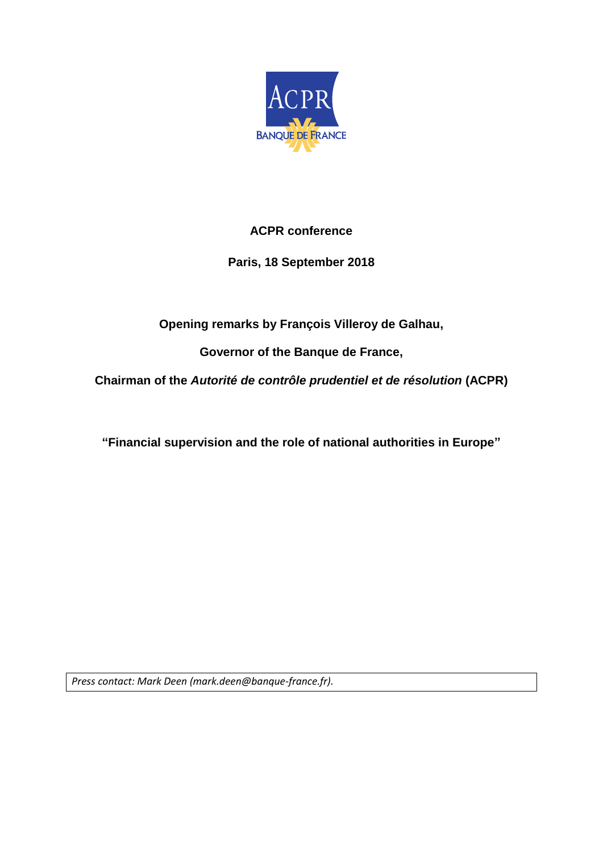

# **ACPR conference**

# **Paris, 18 September 2018**

# **Opening remarks by François Villeroy de Galhau,**

**Governor of the Banque de France,**

**Chairman of the** *Autorité de contrôle prudentiel et de résolution* **(ACPR)**

**"Financial supervision and the role of national authorities in Europe"**

*Press contact: Mark Deen (mark.deen@banque-france.fr).*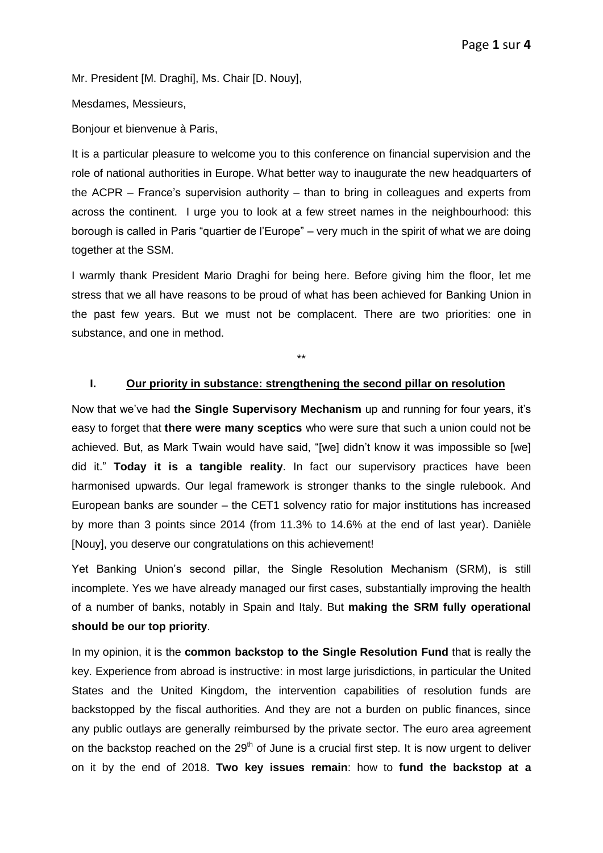Mr. President [M. Draghi], Ms. Chair [D. Nouy],

Mesdames, Messieurs,

Bonjour et bienvenue à Paris,

It is a particular pleasure to welcome you to this conference on financial supervision and the role of national authorities in Europe. What better way to inaugurate the new headquarters of the ACPR – France's supervision authority – than to bring in colleagues and experts from across the continent. I urge you to look at a few street names in the neighbourhood: this borough is called in Paris "quartier de l'Europe" – very much in the spirit of what we are doing together at the SSM.

I warmly thank President Mario Draghi for being here. Before giving him the floor, let me stress that we all have reasons to be proud of what has been achieved for Banking Union in the past few years. But we must not be complacent. There are two priorities: one in substance, and one in method.

\*\*

### **I. Our priority in substance: strengthening the second pillar on resolution**

Now that we've had **the Single Supervisory Mechanism** up and running for four years, it's easy to forget that **there were many sceptics** who were sure that such a union could not be achieved. But, as Mark Twain would have said, "[we] didn't know it was impossible so [we] did it." **Today it is a tangible reality**. In fact our supervisory practices have been harmonised upwards. Our legal framework is stronger thanks to the single rulebook. And European banks are sounder – the CET1 solvency ratio for major institutions has increased by more than 3 points since 2014 (from 11.3% to 14.6% at the end of last year). Danièle [Nouy], you deserve our congratulations on this achievement!

Yet Banking Union's second pillar, the Single Resolution Mechanism (SRM), is still incomplete. Yes we have already managed our first cases, substantially improving the health of a number of banks, notably in Spain and Italy. But **making the SRM fully operational should be our top priority**.

In my opinion, it is the **common backstop to the Single Resolution Fund** that is really the key. Experience from abroad is instructive: in most large jurisdictions, in particular the United States and the United Kingdom, the intervention capabilities of resolution funds are backstopped by the fiscal authorities. And they are not a burden on public finances, since any public outlays are generally reimbursed by the private sector. The euro area agreement on the backstop reached on the  $29<sup>th</sup>$  of June is a crucial first step. It is now urgent to deliver on it by the end of 2018. **Two key issues remain**: how to **fund the backstop at a**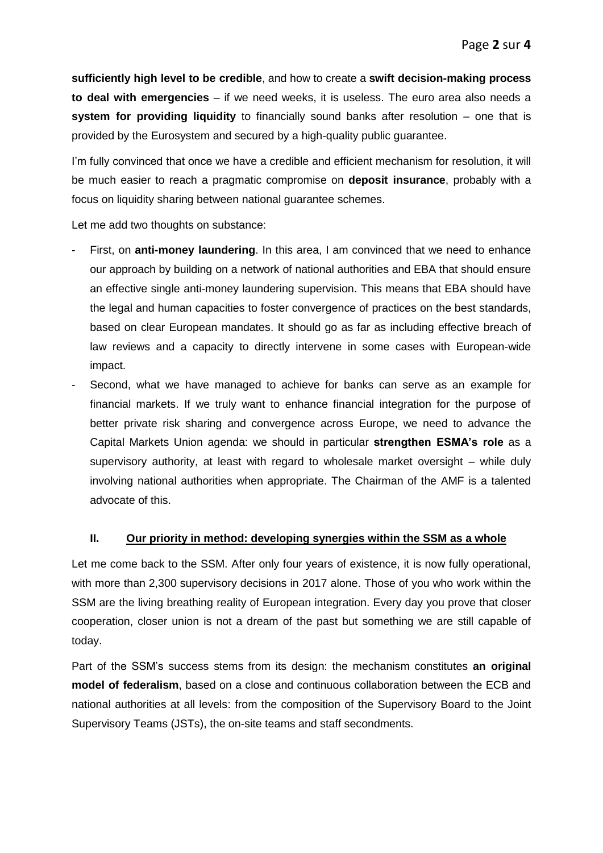**sufficiently high level to be credible**, and how to create a **swift decision-making process to deal with emergencies** – if we need weeks, it is useless. The euro area also needs a **system for providing liquidity** to financially sound banks after resolution – one that is provided by the Eurosystem and secured by a high-quality public guarantee.

I'm fully convinced that once we have a credible and efficient mechanism for resolution, it will be much easier to reach a pragmatic compromise on **deposit insurance**, probably with a focus on liquidity sharing between national guarantee schemes.

Let me add two thoughts on substance:

- First, on **anti-money laundering**. In this area, I am convinced that we need to enhance our approach by building on a network of national authorities and EBA that should ensure an effective single anti-money laundering supervision. This means that EBA should have the legal and human capacities to foster convergence of practices on the best standards, based on clear European mandates. It should go as far as including effective breach of law reviews and a capacity to directly intervene in some cases with European-wide impact.
- Second, what we have managed to achieve for banks can serve as an example for financial markets. If we truly want to enhance financial integration for the purpose of better private risk sharing and convergence across Europe, we need to advance the Capital Markets Union agenda: we should in particular **strengthen ESMA's role** as a supervisory authority, at least with regard to wholesale market oversight – while duly involving national authorities when appropriate. The Chairman of the AMF is a talented advocate of this.

### **II. Our priority in method: developing synergies within the SSM as a whole**

Let me come back to the SSM. After only four years of existence, it is now fully operational, with more than 2,300 supervisory decisions in 2017 alone. Those of you who work within the SSM are the living breathing reality of European integration. Every day you prove that closer cooperation, closer union is not a dream of the past but something we are still capable of today.

Part of the SSM's success stems from its design: the mechanism constitutes **an original model of federalism**, based on a close and continuous collaboration between the ECB and national authorities at all levels: from the composition of the Supervisory Board to the Joint Supervisory Teams (JSTs), the on-site teams and staff secondments.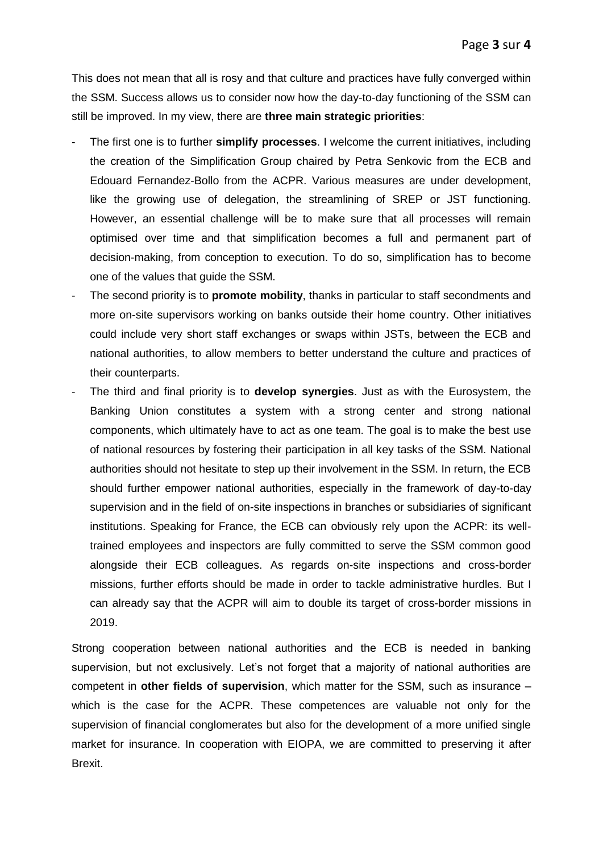This does not mean that all is rosy and that culture and practices have fully converged within the SSM. Success allows us to consider now how the day-to-day functioning of the SSM can still be improved. In my view, there are **three main strategic priorities**:

- The first one is to further **simplify processes**. I welcome the current initiatives, including the creation of the Simplification Group chaired by Petra Senkovic from the ECB and Edouard Fernandez-Bollo from the ACPR. Various measures are under development, like the growing use of delegation, the streamlining of SREP or JST functioning. However, an essential challenge will be to make sure that all processes will remain optimised over time and that simplification becomes a full and permanent part of decision-making, from conception to execution. To do so, simplification has to become one of the values that guide the SSM.
- The second priority is to **promote mobility**, thanks in particular to staff secondments and more on-site supervisors working on banks outside their home country. Other initiatives could include very short staff exchanges or swaps within JSTs, between the ECB and national authorities, to allow members to better understand the culture and practices of their counterparts.
- The third and final priority is to **develop synergies**. Just as with the Eurosystem, the Banking Union constitutes a system with a strong center and strong national components, which ultimately have to act as one team. The goal is to make the best use of national resources by fostering their participation in all key tasks of the SSM. National authorities should not hesitate to step up their involvement in the SSM. In return, the ECB should further empower national authorities, especially in the framework of day-to-day supervision and in the field of on-site inspections in branches or subsidiaries of significant institutions. Speaking for France, the ECB can obviously rely upon the ACPR: its welltrained employees and inspectors are fully committed to serve the SSM common good alongside their ECB colleagues. As regards on-site inspections and cross-border missions, further efforts should be made in order to tackle administrative hurdles. But I can already say that the ACPR will aim to double its target of cross-border missions in 2019.

Strong cooperation between national authorities and the ECB is needed in banking supervision, but not exclusively. Let's not forget that a majority of national authorities are competent in **other fields of supervision**, which matter for the SSM, such as insurance – which is the case for the ACPR. These competences are valuable not only for the supervision of financial conglomerates but also for the development of a more unified single market for insurance. In cooperation with EIOPA, we are committed to preserving it after Brexit.